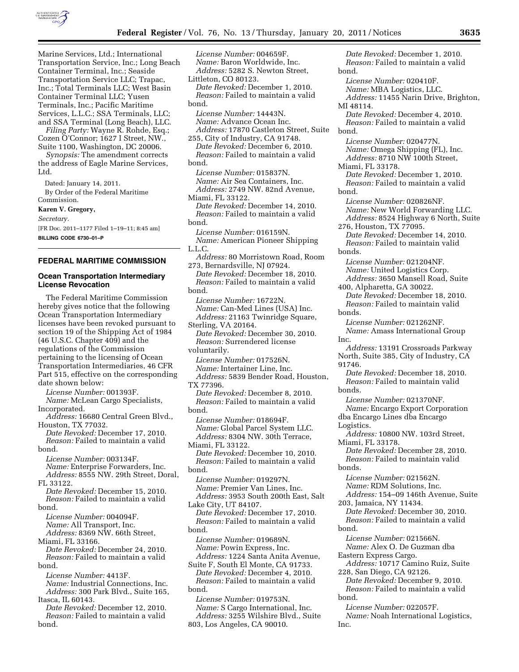

Marine Services, Ltd.; International Transportation Service, Inc.; Long Beach Container Terminal, Inc.; Seaside Transportation Service LLC; Trapac, Inc.; Total Terminals LLC; West Basin Container Terminal LLC; Yusen Terminals, Inc.; Pacific Maritime Services, L.L.C.; SSA Terminals, LLC; and SSA Terminal (Long Beach), LLC. *Filing Party:* Wayne R. Rohde, Esq.; Cozen O'Connor; 1627 I Street, NW., Suite 1100, Washington, DC 20006. *Synopsis:* The amendment corrects the address of Eagle Marine Services, Ltd. Dated: January 14, 2011. By Order of the Federal Maritime Commission. **Karen V. Gregory,**  *Secretary.*  [FR Doc. 2011–1177 Filed 1–19–11; 8:45 am] **BILLING CODE 6730–01–P FEDERAL MARITIME COMMISSION** 

# **Ocean Transportation Intermediary License Revocation**

The Federal Maritime Commission hereby gives notice that the following Ocean Transportation Intermediary licenses have been revoked pursuant to section 19 of the Shipping Act of 1984 (46 U.S.C. Chapter 409) and the regulations of the Commission pertaining to the licensing of Ocean Transportation Intermediaries, 46 CFR Part 515, effective on the corresponding date shown below:

*License Number:* 001393F. *Name:* McLean Cargo Specialists, Incorporated.

*Address:* 16680 Central Green Blvd., Houston, TX 77032. *Date Revoked:* December 17, 2010. *Reason:* Failed to maintain a valid bond.

*License Number:* 003134F. *Name:* Enterprise Forwarders, Inc. *Address:* 8555 NW. 29th Street, Doral, FL 33122.

*Date Revoked:* December 15, 2010. *Reason:* Failed to maintain a valid bond.

*License Number:* 004094F. *Name:* All Transport, Inc. *Address:* 8369 NW. 66th Street,

Miami, FL 33166.

*Date Revoked:* December 24, 2010. *Reason:* Failed to maintain a valid bond.

*License Number:* 4413F. *Name:* Industrial Connections, Inc.

*Address:* 300 Park Blvd., Suite 165, Itasca, IL 60143.

*Date Revoked:* December 12, 2010. *Reason:* Failed to maintain a valid bond.

*License Number:* 004659F. *Name:* Baron Worldwide, Inc. *Address:* 5282 S. Newton Street, Littleton, CO 80123. *Date Revoked:* December 1, 2010. *Reason:* Failed to maintain a valid bond. *License Number:* 14443N. *Name:* Advance Ocean Inc. *Address:* 17870 Castleton Street, Suite 255, City of Industry, CA 91748. *Date Revoked:* December 6, 2010. *Reason:* Failed to maintain a valid bond. *License Number:* 015837N. *Name:* Air Sea Containers, Inc. *Address:* 2749 NW. 82nd Avenue, Miami, FL 33122. *Date Revoked:* December 14, 2010. *Reason:* Failed to maintain a valid bond. *License Number:* 016159N. *Name:* American Pioneer Shipping L.L.C. *Address:* 80 Morristown Road, Room 273, Bernardsville, NJ 07924. *Date Revoked:* December 18, 2010. *Reason:* Failed to maintain a valid bond. *License Number:* 16722N. *Name:* Can-Med Lines (USA) Inc. *Address:* 21163 Twinridge Square, Sterling, VA 20164. *Date Revoked:* December 30, 2010. *Reason:* Surrendered license voluntarily. *License Number:* 017526N. *Name:* Intertainer Line, Inc. *Address:* 5839 Bender Road, Houston, TX 77396. *Date Revoked:* December 8, 2010. *Reason:* Failed to maintain a valid bond. *License Number:* 018694F. *Name:* Global Parcel System LLC. *Address:* 8304 NW. 30th Terrace, Miami, FL 33122. *Date Revoked:* December 10, 2010. *Reason:* Failed to maintain a valid bond. *License Number:* 019297N. *Name:* Premier Van Lines, Inc. *Address:* 3953 South 200th East, Salt Lake City, UT 84107. *Date Revoked:* December 17, 2010. *Reason:* Failed to maintain a valid bond. *License Number:* 019689N. *Name:* Powin Express, Inc. *Address:* 1224 Santa Anita Avenue, Suite F, South El Monte, CA 91733. *Date Revoked:* December 4, 2010. *Reason:* Failed to maintain a valid bond. *License Number:* 019753N. *Name:* S Cargo International, Inc. *Address:* 3255 Wilshire Blvd., Suite 803, Los Angeles, CA 90010.

*Reason:* Failed to maintain a valid bond. *License Number:* 020410F. *Name:* MBA Logistics, LLC. *Address:* 11455 Narin Drive, Brighton, MI 48114. *Date Revoked:* December 4, 2010. *Reason:* Failed to maintain a valid bond. *License Number:* 020477N. *Name:* Omega Shipping (FL), Inc. *Address:* 8710 NW 100th Street, Miami, FL 33178. *Date Revoked:* December 1, 2010. *Reason:* Failed to maintain a valid bond. *License Number:* 020826NF. *Name:* New World Forwarding LLC. *Address:* 8524 Highway 6 North, Suite 276, Houston, TX 77095. *Date Revoked:* December 14, 2010. *Reason:* Failed to maintain valid bonds. *License Number:* 021204NF. *Name:* United Logistics Corp. *Address:* 3650 Mansell Road, Suite 400, Alpharetta, GA 30022. *Date Revoked:* December 18, 2010. *Reason:* Failed to maintain valid bonds. *License Number:* 021262NF. *Name:* Amass International Group Inc. *Address:* 13191 Crossroads Parkway North, Suite 385, City of Industry, CA 91746. *Date Revoked:* December 18, 2010. *Reason:* Failed to maintain valid bonds. *License Number:* 021370NF. *Name:* Encargo Export Corporation dba Encargo Lines dba Encargo Logistics. *Address:* 10800 NW. 103rd Street, Miami, FL 33178. *Date Revoked:* December 28, 2010. *Reason:* Failed to maintain valid bonds. *License Number:* 021562N. *Name:* RDM Solutions, Inc. *Address:* 154–09 146th Avenue, Suite 203, Jamaica, NY 11434. *Date Revoked:* December 30, 2010. *Reason:* Failed to maintain a valid bond. *License Number:* 021566N. *Name:* Alex O. De Guzman dba Eastern Express Cargo. *Address:* 10717 Camino Ruiz, Suite 228, San Diego, CA 92126. *Date Revoked:* December 9, 2010. *Reason:* Failed to maintain a valid bond. *License Number:* 022057F. *Name:* Noah International Logistics, Inc.

*Date Revoked:* December 1, 2010.